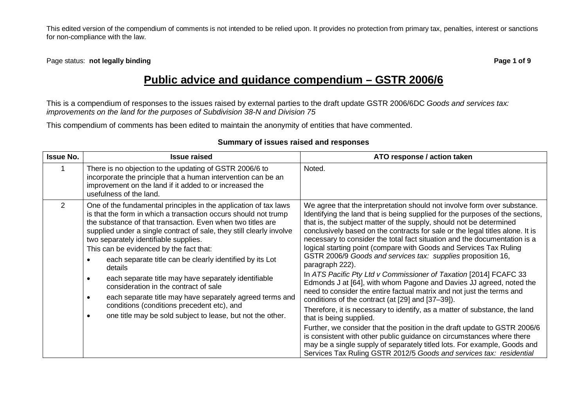Page status: **not legally binding Page 1 of 9**

# **Public advice and guidance compendium – GSTR 2006/6**

This is a compendium of responses to the issues raised by external parties to the draft update GSTR 2006/6DC *Goods and services tax: improvements on the land for the purposes of Subdivision 38-N and Division 75*

This compendium of comments has been edited to maintain the anonymity of entities that have commented.

| <b>Issue No.</b> | <b>Issue raised</b>                                                                                                                                                                                                                                                                                                                                                                                                                                                                                                                                                                                                                                                                                                                                                | ATO response / action taken                                                                                                                                                                                                                                                                                                                                                                                                                                                                                                                                                                                                                                                                                                                                                                                                                                                                                                                                                                                                                                                                                                                                                                                                                         |
|------------------|--------------------------------------------------------------------------------------------------------------------------------------------------------------------------------------------------------------------------------------------------------------------------------------------------------------------------------------------------------------------------------------------------------------------------------------------------------------------------------------------------------------------------------------------------------------------------------------------------------------------------------------------------------------------------------------------------------------------------------------------------------------------|-----------------------------------------------------------------------------------------------------------------------------------------------------------------------------------------------------------------------------------------------------------------------------------------------------------------------------------------------------------------------------------------------------------------------------------------------------------------------------------------------------------------------------------------------------------------------------------------------------------------------------------------------------------------------------------------------------------------------------------------------------------------------------------------------------------------------------------------------------------------------------------------------------------------------------------------------------------------------------------------------------------------------------------------------------------------------------------------------------------------------------------------------------------------------------------------------------------------------------------------------------|
|                  | There is no objection to the updating of GSTR 2006/6 to<br>incorporate the principle that a human intervention can be an<br>improvement on the land if it added to or increased the<br>usefulness of the land.                                                                                                                                                                                                                                                                                                                                                                                                                                                                                                                                                     | Noted.                                                                                                                                                                                                                                                                                                                                                                                                                                                                                                                                                                                                                                                                                                                                                                                                                                                                                                                                                                                                                                                                                                                                                                                                                                              |
| $\overline{2}$   | One of the fundamental principles in the application of tax laws<br>is that the form in which a transaction occurs should not trump<br>the substance of that transaction. Even when two titles are<br>supplied under a single contract of sale, they still clearly involve<br>two separately identifiable supplies.<br>This can be evidenced by the fact that:<br>each separate title can be clearly identified by its Lot<br>$\bullet$<br>details<br>each separate title may have separately identifiable<br>$\bullet$<br>consideration in the contract of sale<br>each separate title may have separately agreed terms and<br>$\bullet$<br>conditions (conditions precedent etc), and<br>one title may be sold subject to lease, but not the other.<br>$\bullet$ | We agree that the interpretation should not involve form over substance.<br>Identifying the land that is being supplied for the purposes of the sections,<br>that is, the subject matter of the supply, should not be determined<br>conclusively based on the contracts for sale or the legal titles alone. It is<br>necessary to consider the total fact situation and the documentation is a<br>logical starting point (compare with Goods and Services Tax Ruling<br>GSTR 2006/9 Goods and services tax: supplies proposition 16,<br>paragraph 222).<br>In ATS Pacific Pty Ltd v Commissioner of Taxation [2014] FCAFC 33<br>Edmonds J at [64], with whom Pagone and Davies JJ agreed, noted the<br>need to consider the entire factual matrix and not just the terms and<br>conditions of the contract (at [29] and [37-39]).<br>Therefore, it is necessary to identify, as a matter of substance, the land<br>that is being supplied.<br>Further, we consider that the position in the draft update to GSTR 2006/6<br>is consistent with other public guidance on circumstances where there<br>may be a single supply of separately titled lots. For example, Goods and<br>Services Tax Ruling GSTR 2012/5 Goods and services tax: residential |

### **Summary of issues raised and responses**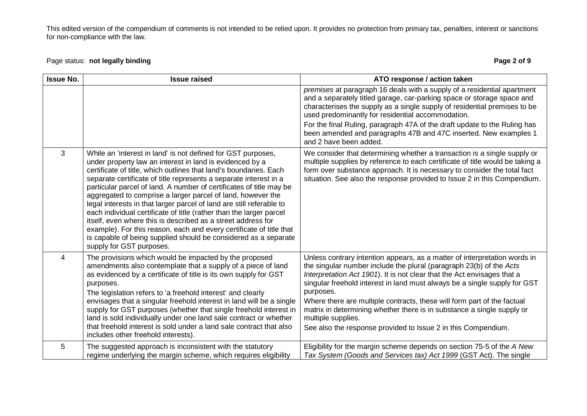## Page status: **not legally binding Page 2 of 9**

| <b>Issue No.</b> | <b>Issue raised</b>                                                                                                                                                                                                                                                                                                                                                                                                                                                                                                                                                                                                                                                                                                                                                                           | ATO response / action taken                                                                                                                                                                                                                                                                                                                                                                                                                                                                                                                                       |
|------------------|-----------------------------------------------------------------------------------------------------------------------------------------------------------------------------------------------------------------------------------------------------------------------------------------------------------------------------------------------------------------------------------------------------------------------------------------------------------------------------------------------------------------------------------------------------------------------------------------------------------------------------------------------------------------------------------------------------------------------------------------------------------------------------------------------|-------------------------------------------------------------------------------------------------------------------------------------------------------------------------------------------------------------------------------------------------------------------------------------------------------------------------------------------------------------------------------------------------------------------------------------------------------------------------------------------------------------------------------------------------------------------|
|                  |                                                                                                                                                                                                                                                                                                                                                                                                                                                                                                                                                                                                                                                                                                                                                                                               | premises at paragraph 16 deals with a supply of a residential apartment<br>and a separately titled garage, car-parking space or storage space and<br>characterises the supply as a single supply of residential premises to be<br>used predominantly for residential accommodation.<br>For the final Ruling, paragraph 47A of the draft update to the Ruling has<br>been amended and paragraphs 47B and 47C inserted. New examples 1                                                                                                                              |
|                  |                                                                                                                                                                                                                                                                                                                                                                                                                                                                                                                                                                                                                                                                                                                                                                                               | and 2 have been added.                                                                                                                                                                                                                                                                                                                                                                                                                                                                                                                                            |
| $\mathbf{3}$     | While an 'interest in land' is not defined for GST purposes,<br>under property law an interest in land is evidenced by a<br>certificate of title, which outlines that land's boundaries. Each<br>separate certificate of title represents a separate interest in a<br>particular parcel of land. A number of certificates of title may be<br>aggregated to comprise a larger parcel of land, however the<br>legal interests in that larger parcel of land are still referable to<br>each individual certificate of title (rather than the larger parcel<br>itself, even where this is described as a street address for<br>example). For this reason, each and every certificate of title that<br>is capable of being supplied should be considered as a separate<br>supply for GST purposes. | We consider that determining whether a transaction is a single supply or<br>multiple supplies by reference to each certificate of title would be taking a<br>form over substance approach. It is necessary to consider the total fact<br>situation. See also the response provided to Issue 2 in this Compendium.                                                                                                                                                                                                                                                 |
| 4                | The provisions which would be impacted by the proposed<br>amendments also contemplate that a supply of a piece of land<br>as evidenced by a certificate of title is its own supply for GST<br>purposes.<br>The legislation refers to 'a freehold interest' and clearly<br>envisages that a singular freehold interest in land will be a single<br>supply for GST purposes (whether that single freehold interest in<br>land is sold individually under one land sale contract or whether<br>that freehold interest is sold under a land sale contract that also<br>includes other freehold interests).                                                                                                                                                                                        | Unless contrary intention appears, as a matter of interpretation words in<br>the singular number include the plural (paragraph 23(b) of the Acts<br>Interpretation Act 1901). It is not clear that the Act envisages that a<br>singular freehold interest in land must always be a single supply for GST<br>purposes.<br>Where there are multiple contracts, these will form part of the factual<br>matrix in determining whether there is in substance a single supply or<br>multiple supplies.<br>See also the response provided to Issue 2 in this Compendium. |
| 5                | The suggested approach is inconsistent with the statutory<br>regime underlying the margin scheme, which requires eligibility                                                                                                                                                                                                                                                                                                                                                                                                                                                                                                                                                                                                                                                                  | Eligibility for the margin scheme depends on section 75-5 of the A New<br>Tax System (Goods and Services tax) Act 1999 (GST Act). The single                                                                                                                                                                                                                                                                                                                                                                                                                      |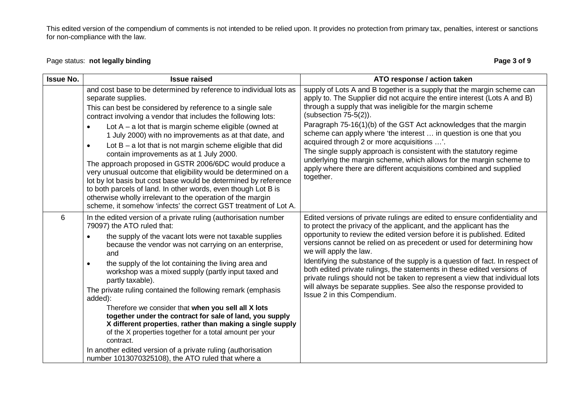## Page status: **not legally binding Page 3 of 9**

| <b>Issue No.</b> | <b>Issue raised</b>                                                                                                                                                                                                                                                                                                                                                                                                                                                                                                                                                                                                                                                                                                                                                                                                                                     | ATO response / action taken                                                                                                                                                                                                                                                                                                                                                                                                                                                                                                                                                                                                                                                      |
|------------------|---------------------------------------------------------------------------------------------------------------------------------------------------------------------------------------------------------------------------------------------------------------------------------------------------------------------------------------------------------------------------------------------------------------------------------------------------------------------------------------------------------------------------------------------------------------------------------------------------------------------------------------------------------------------------------------------------------------------------------------------------------------------------------------------------------------------------------------------------------|----------------------------------------------------------------------------------------------------------------------------------------------------------------------------------------------------------------------------------------------------------------------------------------------------------------------------------------------------------------------------------------------------------------------------------------------------------------------------------------------------------------------------------------------------------------------------------------------------------------------------------------------------------------------------------|
|                  | and cost base to be determined by reference to individual lots as<br>separate supplies.<br>This can best be considered by reference to a single sale<br>contract involving a vendor that includes the following lots:<br>Lot $A - a$ lot that is margin scheme eligible (owned at<br>1 July 2000) with no improvements as at that date, and<br>Lot $B - a$ lot that is not margin scheme eligible that did<br>contain improvements as at 1 July 2000.<br>The approach proposed in GSTR 2006/6DC would produce a<br>very unusual outcome that eligibility would be determined on a<br>lot by lot basis but cost base would be determined by reference<br>to both parcels of land. In other words, even though Lot B is<br>otherwise wholly irrelevant to the operation of the margin<br>scheme, it somehow 'infects' the correct GST treatment of Lot A. | supply of Lots A and B together is a supply that the margin scheme can<br>apply to. The Supplier did not acquire the entire interest (Lots A and B)<br>through a supply that was ineligible for the margin scheme<br>$(subsection 75-5(2)).$<br>Paragraph 75-16(1)(b) of the GST Act acknowledges that the margin<br>scheme can apply where 'the interest  in question is one that you<br>acquired through 2 or more acquisitions '.<br>The single supply approach is consistent with the statutory regime<br>underlying the margin scheme, which allows for the margin scheme to<br>apply where there are different acquisitions combined and supplied<br>together.             |
| 6                | In the edited version of a private ruling (authorisation number<br>79097) the ATO ruled that:<br>the supply of the vacant lots were not taxable supplies<br>because the vendor was not carrying on an enterprise,<br>and<br>the supply of the lot containing the living area and<br>$\bullet$<br>workshop was a mixed supply (partly input taxed and<br>partly taxable).<br>The private ruling contained the following remark (emphasis<br>added):<br>Therefore we consider that when you sell all X lots<br>together under the contract for sale of land, you supply<br>X different properties, rather than making a single supply<br>of the X properties together for a total amount per your<br>contract.<br>In another edited version of a private ruling (authorisation<br>number 1013070325108), the ATO ruled that where a                       | Edited versions of private rulings are edited to ensure confidentiality and<br>to protect the privacy of the applicant, and the applicant has the<br>opportunity to review the edited version before it is published. Edited<br>versions cannot be relied on as precedent or used for determining how<br>we will apply the law.<br>Identifying the substance of the supply is a question of fact. In respect of<br>both edited private rulings, the statements in these edited versions of<br>private rulings should not be taken to represent a view that individual lots<br>will always be separate supplies. See also the response provided to<br>Issue 2 in this Compendium. |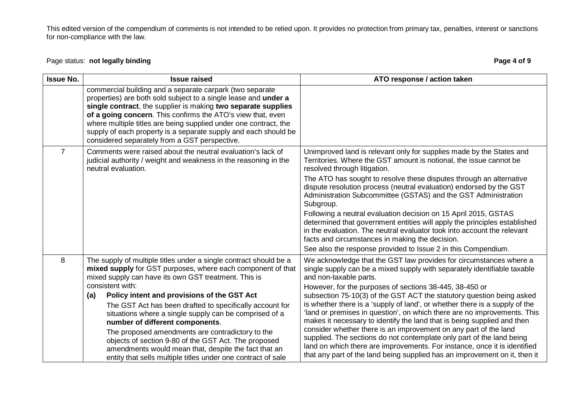## Page status: **not legally binding Page 4 of 9**

| <b>Issue No.</b> | <b>Issue raised</b>                                                                                                                                                                                                                                                                                                                                                                                                                                                                                                                                                                                                                                             | ATO response / action taken                                                                                                                                                                                                                                                                                                                                                                                                                                                                                                                                                                                                                                                                                                                                                                                                                                |
|------------------|-----------------------------------------------------------------------------------------------------------------------------------------------------------------------------------------------------------------------------------------------------------------------------------------------------------------------------------------------------------------------------------------------------------------------------------------------------------------------------------------------------------------------------------------------------------------------------------------------------------------------------------------------------------------|------------------------------------------------------------------------------------------------------------------------------------------------------------------------------------------------------------------------------------------------------------------------------------------------------------------------------------------------------------------------------------------------------------------------------------------------------------------------------------------------------------------------------------------------------------------------------------------------------------------------------------------------------------------------------------------------------------------------------------------------------------------------------------------------------------------------------------------------------------|
|                  | commercial building and a separate carpark (two separate<br>properties) are both sold subject to a single lease and under a<br>single contract, the supplier is making two separate supplies<br>of a going concern. This confirms the ATO's view that, even<br>where multiple titles are being supplied under one contract, the<br>supply of each property is a separate supply and each should be<br>considered separately from a GST perspective.                                                                                                                                                                                                             |                                                                                                                                                                                                                                                                                                                                                                                                                                                                                                                                                                                                                                                                                                                                                                                                                                                            |
| $\overline{7}$   | Comments were raised about the neutral evaluation's lack of<br>judicial authority / weight and weakness in the reasoning in the<br>neutral evaluation.                                                                                                                                                                                                                                                                                                                                                                                                                                                                                                          | Unimproved land is relevant only for supplies made by the States and<br>Territories. Where the GST amount is notional, the issue cannot be<br>resolved through litigation.<br>The ATO has sought to resolve these disputes through an alternative<br>dispute resolution process (neutral evaluation) endorsed by the GST<br>Administration Subcommittee (GSTAS) and the GST Administration<br>Subgroup.<br>Following a neutral evaluation decision on 15 April 2015, GSTAS<br>determined that government entities will apply the principles established<br>in the evaluation. The neutral evaluator took into account the relevant<br>facts and circumstances in making the decision.<br>See also the response provided to Issue 2 in this Compendium.                                                                                                     |
| 8                | The supply of multiple titles under a single contract should be a<br>mixed supply for GST purposes, where each component of that<br>mixed supply can have its own GST treatment. This is<br>consistent with:<br>Policy intent and provisions of the GST Act<br>(a)<br>The GST Act has been drafted to specifically account for<br>situations where a single supply can be comprised of a<br>number of different components.<br>The proposed amendments are contradictory to the<br>objects of section 9-80 of the GST Act. The proposed<br>amendments would mean that, despite the fact that an<br>entity that sells multiple titles under one contract of sale | We acknowledge that the GST law provides for circumstances where a<br>single supply can be a mixed supply with separately identifiable taxable<br>and non-taxable parts.<br>However, for the purposes of sections 38-445, 38-450 or<br>subsection 75-10(3) of the GST ACT the statutory question being asked<br>is whether there is a 'supply of land', or whether there is a supply of the<br>'land or premises in question', on which there are no improvements. This<br>makes it necessary to identify the land that is being supplied and then<br>consider whether there is an improvement on any part of the land<br>supplied. The sections do not contemplate only part of the land being<br>land on which there are improvements. For instance, once it is identified<br>that any part of the land being supplied has an improvement on it, then it |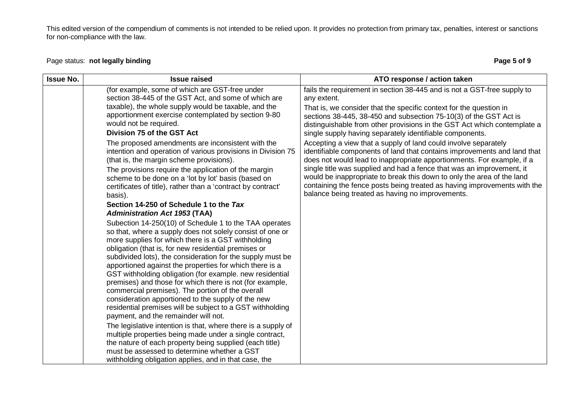## Page status: **not legally binding Page 5 of 9**

| <b>Issue No.</b> | <b>Issue raised</b>                                                                                                                                                                                                                                                                                                                                                                                                                                                                                                                                                                                                                                                                               | ATO response / action taken                                                                                                                                                                                                                                                                                                                                                                                                                                                                              |
|------------------|---------------------------------------------------------------------------------------------------------------------------------------------------------------------------------------------------------------------------------------------------------------------------------------------------------------------------------------------------------------------------------------------------------------------------------------------------------------------------------------------------------------------------------------------------------------------------------------------------------------------------------------------------------------------------------------------------|----------------------------------------------------------------------------------------------------------------------------------------------------------------------------------------------------------------------------------------------------------------------------------------------------------------------------------------------------------------------------------------------------------------------------------------------------------------------------------------------------------|
|                  | (for example, some of which are GST-free under<br>section 38-445 of the GST Act, and some of which are<br>taxable), the whole supply would be taxable, and the<br>apportionment exercise contemplated by section 9-80<br>would not be required.                                                                                                                                                                                                                                                                                                                                                                                                                                                   | fails the requirement in section 38-445 and is not a GST-free supply to<br>any extent.<br>That is, we consider that the specific context for the question in<br>sections 38-445, 38-450 and subsection 75-10(3) of the GST Act is                                                                                                                                                                                                                                                                        |
|                  | Division 75 of the GST Act                                                                                                                                                                                                                                                                                                                                                                                                                                                                                                                                                                                                                                                                        | distinguishable from other provisions in the GST Act which contemplate a<br>single supply having separately identifiable components.                                                                                                                                                                                                                                                                                                                                                                     |
|                  | The proposed amendments are inconsistent with the<br>intention and operation of various provisions in Division 75<br>(that is, the margin scheme provisions).<br>The provisions require the application of the margin<br>scheme to be done on a 'lot by lot' basis (based on<br>certificates of title), rather than a 'contract by contract'<br>basis).                                                                                                                                                                                                                                                                                                                                           | Accepting a view that a supply of land could involve separately<br>identifiable components of land that contains improvements and land that<br>does not would lead to inappropriate apportionments. For example, if a<br>single title was supplied and had a fence that was an improvement, it<br>would be inappropriate to break this down to only the area of the land<br>containing the fence posts being treated as having improvements with the<br>balance being treated as having no improvements. |
|                  | Section 14-250 of Schedule 1 to the Tax<br><b>Administration Act 1953 (TAA)</b>                                                                                                                                                                                                                                                                                                                                                                                                                                                                                                                                                                                                                   |                                                                                                                                                                                                                                                                                                                                                                                                                                                                                                          |
|                  | Subection 14-250(10) of Schedule 1 to the TAA operates<br>so that, where a supply does not solely consist of one or<br>more supplies for which there is a GST withholding<br>obligation (that is, for new residential premises or<br>subdivided lots), the consideration for the supply must be<br>apportioned against the properties for which there is a<br>GST withholding obligation (for example. new residential<br>premises) and those for which there is not (for example,<br>commercial premises). The portion of the overall<br>consideration apportioned to the supply of the new<br>residential premises will be subject to a GST withholding<br>payment, and the remainder will not. |                                                                                                                                                                                                                                                                                                                                                                                                                                                                                                          |
|                  | The legislative intention is that, where there is a supply of<br>multiple properties being made under a single contract,<br>the nature of each property being supplied (each title)<br>must be assessed to determine whether a GST<br>withholding obligation applies, and in that case, the                                                                                                                                                                                                                                                                                                                                                                                                       |                                                                                                                                                                                                                                                                                                                                                                                                                                                                                                          |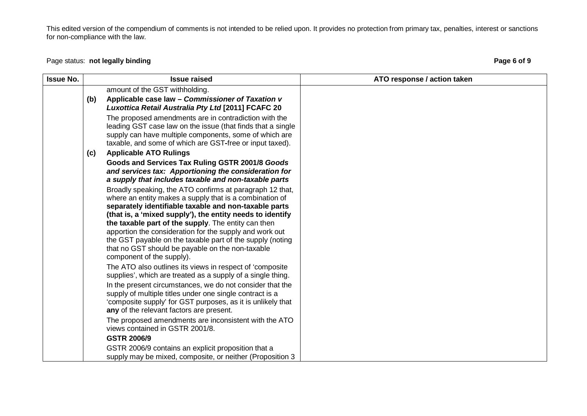## Page status: **not legally binding Page 6 of 9**

| <b>Issue No.</b> |     | <b>Issue raised</b>                                                                                                                                                                                                                                                                              | ATO response / action taken |
|------------------|-----|--------------------------------------------------------------------------------------------------------------------------------------------------------------------------------------------------------------------------------------------------------------------------------------------------|-----------------------------|
|                  |     | amount of the GST withholding.                                                                                                                                                                                                                                                                   |                             |
|                  | (b) | Applicable case law - Commissioner of Taxation v<br>Luxottica Retail Australia Pty Ltd [2011] FCAFC 20                                                                                                                                                                                           |                             |
|                  |     | The proposed amendments are in contradiction with the<br>leading GST case law on the issue (that finds that a single<br>supply can have multiple components, some of which are<br>taxable, and some of which are GST-free or input taxed).                                                       |                             |
|                  | (c) | <b>Applicable ATO Rulings</b>                                                                                                                                                                                                                                                                    |                             |
|                  |     | Goods and Services Tax Ruling GSTR 2001/8 Goods<br>and services tax: Apportioning the consideration for<br>a supply that includes taxable and non-taxable parts                                                                                                                                  |                             |
|                  |     | Broadly speaking, the ATO confirms at paragraph 12 that,<br>where an entity makes a supply that is a combination of<br>separately identifiable taxable and non-taxable parts<br>(that is, a 'mixed supply'), the entity needs to identify<br>the taxable part of the supply. The entity can then |                             |
|                  |     | apportion the consideration for the supply and work out<br>the GST payable on the taxable part of the supply (noting<br>that no GST should be payable on the non-taxable<br>component of the supply).                                                                                            |                             |
|                  |     | The ATO also outlines its views in respect of 'composite<br>supplies', which are treated as a supply of a single thing.                                                                                                                                                                          |                             |
|                  |     | In the present circumstances, we do not consider that the<br>supply of multiple titles under one single contract is a<br>'composite supply' for GST purposes, as it is unlikely that<br>any of the relevant factors are present.                                                                 |                             |
|                  |     | The proposed amendments are inconsistent with the ATO<br>views contained in GSTR 2001/8.                                                                                                                                                                                                         |                             |
|                  |     | <b>GSTR 2006/9</b>                                                                                                                                                                                                                                                                               |                             |
|                  |     | GSTR 2006/9 contains an explicit proposition that a<br>supply may be mixed, composite, or neither (Proposition 3                                                                                                                                                                                 |                             |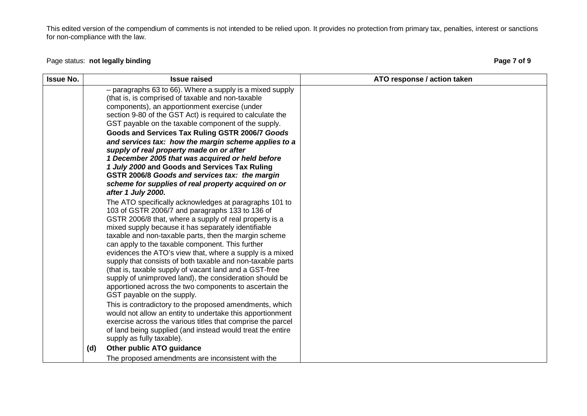## Page status: **not legally binding Page 7 of 9**

| <b>Issue No.</b> | <b>Issue raised</b>                                                                                                                                                                                                                                                                                                                                                                                                                                                                                                                                                                                                                                                                                                                                                                                                                                                                                                                                                                                                                                                                                                                                                                                                                                                                                                                                                                                                                                                                                                                                    | ATO response / action taken |
|------------------|--------------------------------------------------------------------------------------------------------------------------------------------------------------------------------------------------------------------------------------------------------------------------------------------------------------------------------------------------------------------------------------------------------------------------------------------------------------------------------------------------------------------------------------------------------------------------------------------------------------------------------------------------------------------------------------------------------------------------------------------------------------------------------------------------------------------------------------------------------------------------------------------------------------------------------------------------------------------------------------------------------------------------------------------------------------------------------------------------------------------------------------------------------------------------------------------------------------------------------------------------------------------------------------------------------------------------------------------------------------------------------------------------------------------------------------------------------------------------------------------------------------------------------------------------------|-----------------------------|
|                  | - paragraphs 63 to 66). Where a supply is a mixed supply<br>(that is, is comprised of taxable and non-taxable<br>components), an apportionment exercise (under<br>section 9-80 of the GST Act) is required to calculate the<br>GST payable on the taxable component of the supply.<br>Goods and Services Tax Ruling GSTR 2006/7 Goods<br>and services tax: how the margin scheme applies to a<br>supply of real property made on or after<br>1 December 2005 that was acquired or held before<br>1 July 2000 and Goods and Services Tax Ruling<br>GSTR 2006/8 Goods and services tax: the margin<br>scheme for supplies of real property acquired on or<br>after 1 July 2000.<br>The ATO specifically acknowledges at paragraphs 101 to<br>103 of GSTR 2006/7 and paragraphs 133 to 136 of<br>GSTR 2006/8 that, where a supply of real property is a<br>mixed supply because it has separately identifiable<br>taxable and non-taxable parts, then the margin scheme<br>can apply to the taxable component. This further<br>evidences the ATO's view that, where a supply is a mixed<br>supply that consists of both taxable and non-taxable parts<br>(that is, taxable supply of vacant land and a GST-free<br>supply of unimproved land), the consideration should be<br>apportioned across the two components to ascertain the<br>GST payable on the supply.<br>This is contradictory to the proposed amendments, which<br>would not allow an entity to undertake this apportionment<br>exercise across the various titles that comprise the parcel |                             |
|                  | of land being supplied (and instead would treat the entire<br>supply as fully taxable).                                                                                                                                                                                                                                                                                                                                                                                                                                                                                                                                                                                                                                                                                                                                                                                                                                                                                                                                                                                                                                                                                                                                                                                                                                                                                                                                                                                                                                                                |                             |
|                  | Other public ATO guidance<br>(d)                                                                                                                                                                                                                                                                                                                                                                                                                                                                                                                                                                                                                                                                                                                                                                                                                                                                                                                                                                                                                                                                                                                                                                                                                                                                                                                                                                                                                                                                                                                       |                             |
|                  | The proposed amendments are inconsistent with the                                                                                                                                                                                                                                                                                                                                                                                                                                                                                                                                                                                                                                                                                                                                                                                                                                                                                                                                                                                                                                                                                                                                                                                                                                                                                                                                                                                                                                                                                                      |                             |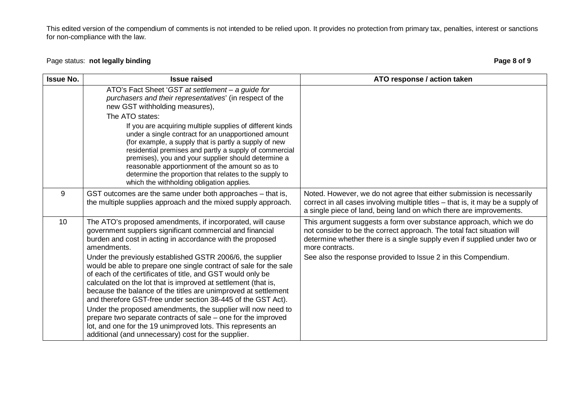## Page status: **not legally binding Page 8 of 9**

| <b>Issue No.</b> | <b>Issue raised</b>                                                                                                                                                                                                                                                                                                                                                                                                                                                                                                                                                                                                                                                                                                                                                                                                                                              | ATO response / action taken                                                                                                                                                                                                                                                                                  |
|------------------|------------------------------------------------------------------------------------------------------------------------------------------------------------------------------------------------------------------------------------------------------------------------------------------------------------------------------------------------------------------------------------------------------------------------------------------------------------------------------------------------------------------------------------------------------------------------------------------------------------------------------------------------------------------------------------------------------------------------------------------------------------------------------------------------------------------------------------------------------------------|--------------------------------------------------------------------------------------------------------------------------------------------------------------------------------------------------------------------------------------------------------------------------------------------------------------|
|                  | ATO's Fact Sheet 'GST at settlement - a guide for<br>purchasers and their representatives' (in respect of the<br>new GST withholding measures),                                                                                                                                                                                                                                                                                                                                                                                                                                                                                                                                                                                                                                                                                                                  |                                                                                                                                                                                                                                                                                                              |
|                  | The ATO states:<br>If you are acquiring multiple supplies of different kinds<br>under a single contract for an unapportioned amount<br>(for example, a supply that is partly a supply of new<br>residential premises and partly a supply of commercial<br>premises), you and your supplier should determine a<br>reasonable apportionment of the amount so as to<br>determine the proportion that relates to the supply to<br>which the withholding obligation applies.                                                                                                                                                                                                                                                                                                                                                                                          |                                                                                                                                                                                                                                                                                                              |
| 9                | GST outcomes are the same under both approaches - that is,<br>the multiple supplies approach and the mixed supply approach.                                                                                                                                                                                                                                                                                                                                                                                                                                                                                                                                                                                                                                                                                                                                      | Noted. However, we do not agree that either submission is necessarily<br>correct in all cases involving multiple titles - that is, it may be a supply of<br>a single piece of land, being land on which there are improvements.                                                                              |
| 10               | The ATO's proposed amendments, if incorporated, will cause<br>government suppliers significant commercial and financial<br>burden and cost in acting in accordance with the proposed<br>amendments.<br>Under the previously established GSTR 2006/6, the supplier<br>would be able to prepare one single contract of sale for the sale<br>of each of the certificates of title, and GST would only be<br>calculated on the lot that is improved at settlement (that is,<br>because the balance of the titles are unimproved at settlement<br>and therefore GST-free under section 38-445 of the GST Act).<br>Under the proposed amendments, the supplier will now need to<br>prepare two separate contracts of sale – one for the improved<br>lot, and one for the 19 unimproved lots. This represents an<br>additional (and unnecessary) cost for the supplier. | This argument suggests a form over substance approach, which we do<br>not consider to be the correct approach. The total fact situation will<br>determine whether there is a single supply even if supplied under two or<br>more contracts.<br>See also the response provided to Issue 2 in this Compendium. |